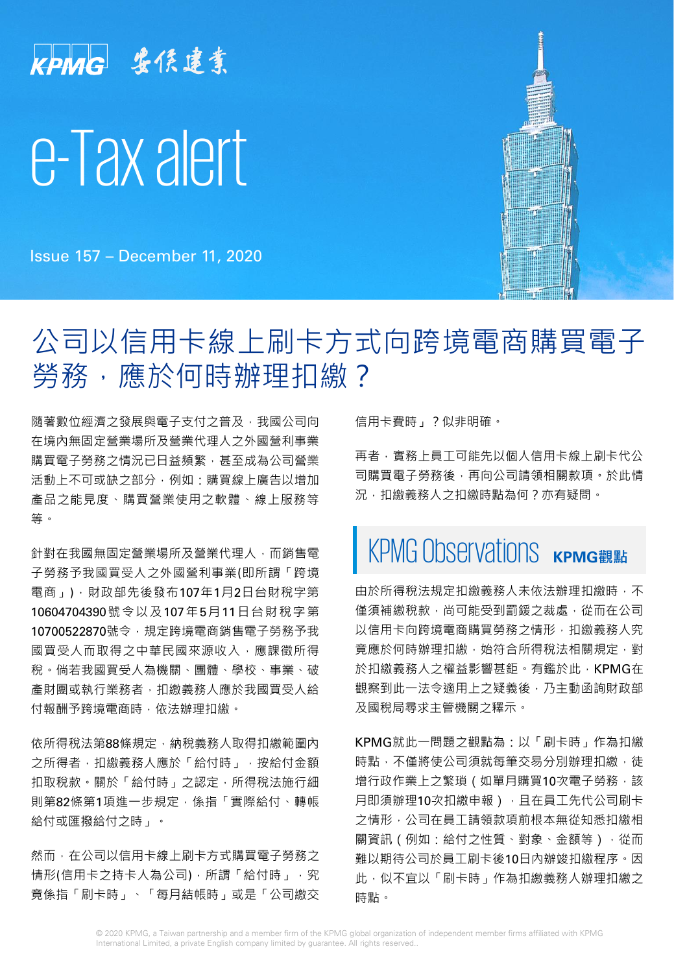# KPMG 安侯建業 e-Tax alert

Issue 157 – December 11, 2020

# 公司以信用卡線上刷卡方式向跨境電商購買電子 勞務,應於何時辦理扣繳?

隨著數位經濟之發展與電子支付之普及,我國公司向 在境內無固定營業場所及營業代理人之外國營利事業 購買電子勞務之情況已日益頻繁,甚至成為公司營業 活動上不可或缺之部分,例如:購買線上廣告以增加 產品之能見度、購買營業使用之軟體、線上服務等 等。

針對在我國無固定營業場所及營業代理人,而銷售電 子勞務予我國買受人之外國營利事業(即所謂「跨境 電商」),財政部先後發布107年1月2日台財稅字第 10604704390號令以及107年5月11日台財稅字第 10700522870號令,規定跨境電商銷售電子勞務予我 國買受人而取得之中華民國來源收入,應課徵所得 稅。倘若我國買受人為機關、團體、學校、事業、破 產財團或執行業務者,扣繳義務人應於我國買受人給 付報酬予跨境電商時,依法辦理扣繳。

依所得稅法第88條規定,納稅義務人取得扣繳範圍內 之所得者,扣繳義務人應於「給付時」,按給付金額 扣取稅款。關於「給付時」之認定,所得稅法施行細 則第82條第1項進一步規定,係指「實際給付、轉帳 給付或匯撥給付之時」。

然而,在公司以信用卡線上刷卡方式購買電子勞務之 情形(信用卡之持卡人為公司), 所謂「給付時」, 究 竟係指「刷卡時」、「每月結帳時」或是「公司繳交

信用卡費時」?似非明確。

再者,實務上員工可能先以個人信用卡線上刷卡代公 司購買電子勞務後,再向公司請領相關款項。於此情 況,扣繳義務人之扣繳時點為何?亦有疑問。

# **KPMG** Observations

由於所得稅法規定扣繳義務人未依法辦理扣繳時,不 懂須補繳稅款,尚可能受到罰鍰之裁處,從而在公司 以信用卡向跨境電商購買勞務之情形,扣繳義務人究 竟應於何時辦理扣繳,始符合所得稅法相關規定,對 於扣繳義務人之權益影響甚鉅。有鑑於此,KPMG在 觀察到此一法令適用上之疑義後,乃主動函詢財政部 及國稅局尋求主管機關之釋示。

KPMG就此一問題之觀點為:以「刷卡時」作為扣繳 時點,不僅將使公司須就每筆交易分別辦理扣繳,徒 增行政作業上之繁瑣(如單月購買10次電子勞務,該 月即須辦理10次扣繳申報),且在員工先代公司刷卡 之情形,公司在員工請領款項前根本無從知悉扣繳相 關資訊(例如:給付之性質、對象、金額等),從而 難以期待公司於員工刷卡後10日內辦竣扣繳程序。因 此,似不宜以「刷卡時」作為扣繳義務人辦理扣繳之 時點。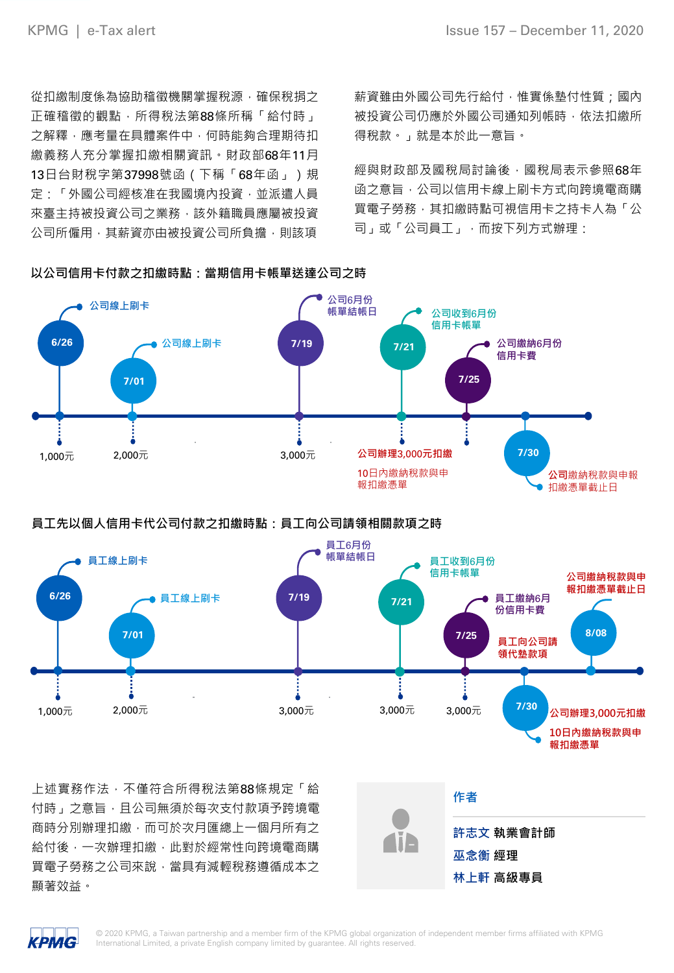從扣繳制度係為協助稽徵機關掌握稅源,確保稅捐之 正確稽徵的觀點,所得稅法第88條所稱「給付時」 之解釋,應考量在具體案件中,何時能夠合理期待扣 繳義務人充分掌握扣繳相關資訊。財政部68年11月 13日台財稅字第37998號函(下稱「68年函」)規 定:「外國公司經核准在我國境內投資,並派遣人員 來臺主持被投資公司之業務,該外籍職員應屬被投資 公司所僱用,其薪資亦由被投資公司所負擔,則該項

薪資雖由外國公司先行給付,惟實係墊付性質;國內 被投資公司仍應於外國公司通知列帳時,依法扣繳所 得稅款。」就是本於此一意旨。

經與財政部及國稅局討論後,國稅局表示參照68年 函之意旨,公司以信用卡線上刷卡方式向跨境電商購 買電子勞務,其扣繳時點可視信用卡之持卡人為「公 司」或「公司員工」,而按下列方式辦理:



**以公司信用卡付款之扣繳時點:當期信用卡帳單送達公司之時**

# **員工先以個人信用卡代公司付款之扣繳時點:員工向公司請領相關款項之時**



上述實務作法,不僅符合所得稅法第88條規定「給 付時」之意旨,且公司無須於每次支付款項予跨境電 商時分別辦理扣繳,而可於次月匯總上一個月所有之 給付後,一次辦理扣繳,此對於經常性向跨境電商購 買電子勞務之公司來說,當具有減輕稅務遵循成本之 顯著效益。